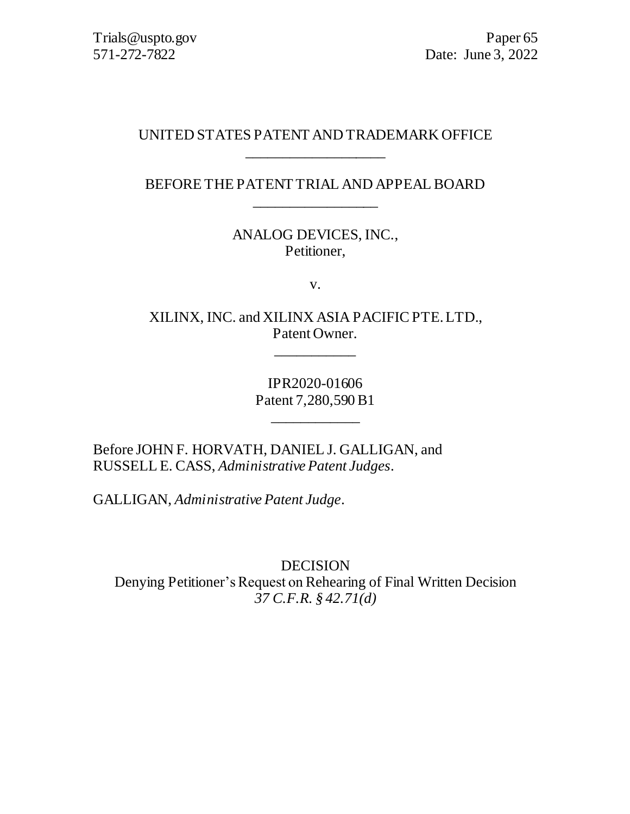### UNITED STATES PATENT AND TRADEMARK OFFICE \_\_\_\_\_\_\_\_\_\_\_\_\_\_\_\_\_\_\_

BEFORE THE PATENT TRIAL AND APPEAL BOARD \_\_\_\_\_\_\_\_\_\_\_\_\_\_\_\_\_

> ANALOG DEVICES, INC., Petitioner,

> > v.

XILINX, INC. and XILINX ASIA PACIFIC PTE. LTD., Patent Owner.

\_\_\_\_\_\_\_\_\_\_\_

IPR2020-01606 Patent 7,280,590 B1

\_\_\_\_\_\_\_\_\_\_\_\_

Before JOHN F. HORVATH, DANIEL J. GALLIGAN, and RUSSELL E. CASS, *Administrative Patent Judges*.

GALLIGAN, *Administrative Patent Judge*.

DECISION Denying Petitioner's Request on Rehearing of Final Written Decision *37 C.F.R. § 42.71(d)*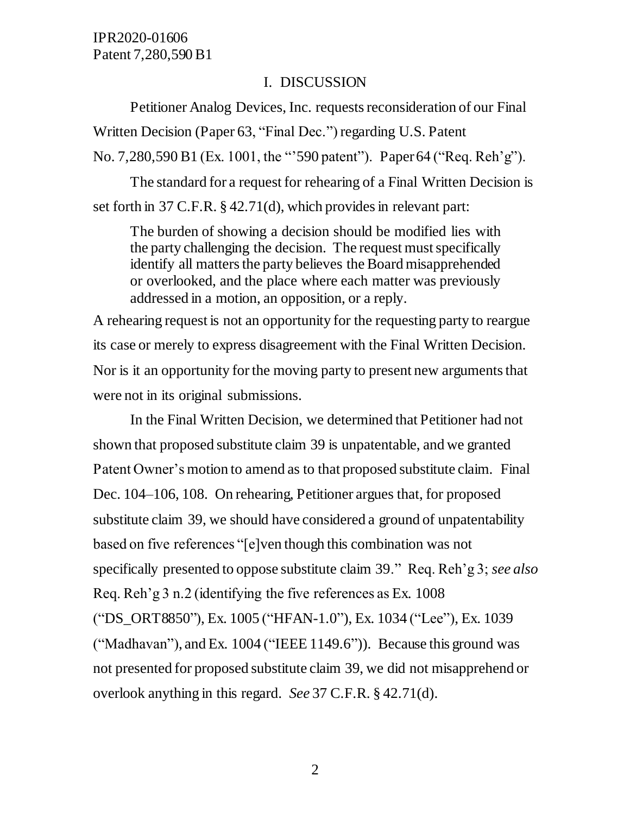#### I. DISCUSSION

Petitioner Analog Devices, Inc. requests reconsideration of our Final Written Decision (Paper 63, "Final Dec.") regarding U.S. Patent No. 7,280,590 B1 (Ex. 1001, the "'590 patent"). Paper 64 ("Req. Reh'g").

The standard for a request for rehearing of a Final Written Decision is set forth in 37 C.F.R. § 42.71(d), which provides in relevant part:

The burden of showing a decision should be modified lies with the party challenging the decision. The request must specifically identify all matters the party believes the Board misapprehended or overlooked, and the place where each matter was previously addressed in a motion, an opposition, or a reply.

A rehearing request is not an opportunity for the requesting party to reargue its case or merely to express disagreement with the Final Written Decision. Nor is it an opportunity for the moving party to present new arguments that were not in its original submissions.

In the Final Written Decision, we determined that Petitioner had not shown that proposed substitute claim 39 is unpatentable, and we granted Patent Owner's motion to amend as to that proposed substitute claim. Final Dec. 104–106, 108. On rehearing, Petitioner argues that, for proposed substitute claim 39, we should have considered a ground of unpatentability based on five references "[e]ven though this combination was not specifically presented to oppose substitute claim 39." Req. Reh'g 3; *see also*  Req. Reh'g 3 n.2 (identifying the five references as Ex. 1008 ("DS\_ORT8850"), Ex. 1005 ("HFAN-1.0"), Ex. 1034 ("Lee"), Ex. 1039 ("Madhavan"), and Ex. 1004 ("IEEE 1149.6")). Because this ground was not presented for proposed substitute claim 39, we did not misapprehend or overlook anything in this regard. *See* 37 C.F.R. § 42.71(d).

2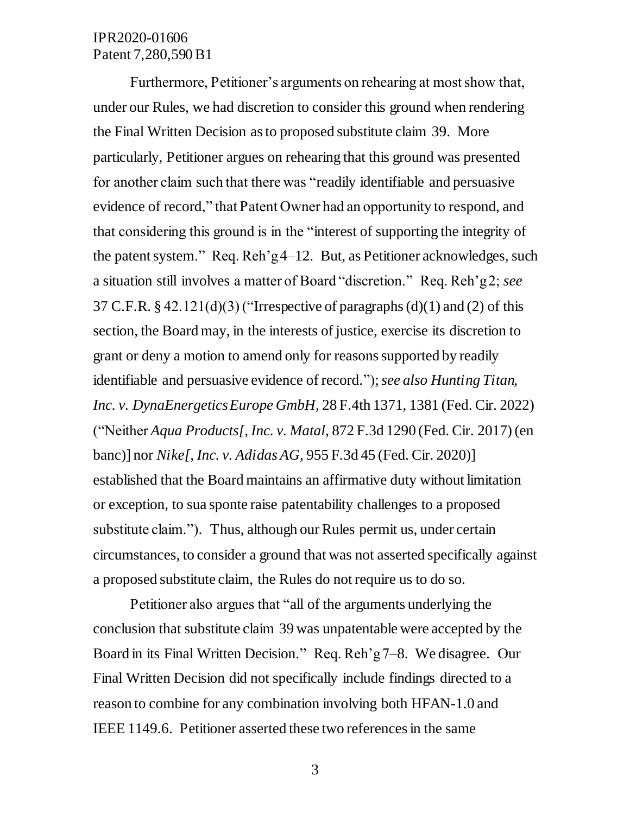Furthermore, Petitioner's arguments on rehearing at most show that, under our Rules, we had discretion to consider this ground when rendering the Final Written Decision as to proposed substitute claim 39. More particularly, Petitioner argues on rehearing that this ground was presented for another claim such that there was "readily identifiable and persuasive evidence of record," that Patent Owner had an opportunity to respond, and that considering this ground is in the "interest of supporting the integrity of the patent system." Req. Reh'g 4–12. But, as Petitioner acknowledges, such a situation still involves a matter of Board "discretion." Req. Reh'g 2; *see*  37 C.F.R.  $\S$  42.121(d)(3) ("Irrespective of paragraphs (d)(1) and (2) of this section, the Board may, in the interests of justice, exercise its discretion to grant or deny a motion to amend only for reasons supported by readily identifiable and persuasive evidence of record."); *see also Hunting Titan, Inc. v. DynaEnergetics Europe GmbH*, 28 F.4th 1371, 1381 (Fed. Cir. 2022) ("Neither *Aqua Products[, Inc. v. Matal*, 872 F.3d 1290 (Fed. Cir. 2017) (en banc)] nor *Nike[, Inc. v. Adidas AG*, 955 F.3d 45 (Fed. Cir. 2020)] established that the Board maintains an affirmative duty without limitation or exception, to sua sponte raise patentability challenges to a proposed substitute claim."). Thus, although our Rules permit us, under certain circumstances, to consider a ground that was not asserted specifically against a proposed substitute claim, the Rules do not require us to do so.

Petitioner also argues that "all of the arguments underlying the conclusion that substitute claim 39 was unpatentable were accepted by the Board in its Final Written Decision." Req. Reh'g 7–8. We disagree. Our Final Written Decision did not specifically include findings directed to a reason to combine for any combination involving both HFAN-1.0 and IEEE 1149.6. Petitioner asserted these two references in the same

3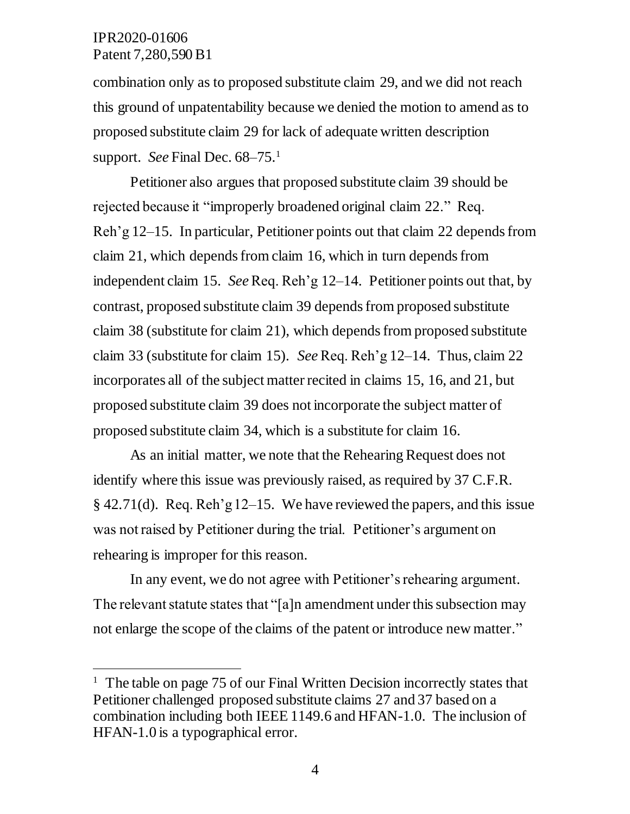j

combination only as to proposed substitute claim 29, and we did not reach this ground of unpatentability because we denied the motion to amend as to proposed substitute claim 29 for lack of adequate written description support. *See* Final Dec. 68–75.<sup>1</sup>

Petitioner also argues that proposed substitute claim 39 should be rejected because it "improperly broadened original claim 22." Req. Reh'g 12–15. In particular, Petitioner points out that claim 22 depends from claim 21, which depends from claim 16, which in turn depends from independent claim 15. *See* Req. Reh'g 12–14. Petitioner points out that, by contrast, proposed substitute claim 39 depends from proposed substitute claim 38 (substitute for claim 21), which depends from proposed substitute claim 33 (substitute for claim 15). *See* Req. Reh'g 12–14. Thus, claim 22 incorporates all of the subject matter recited in claims 15, 16, and 21, but proposed substitute claim 39 does not incorporate the subject matter of proposed substitute claim 34, which is a substitute for claim 16.

As an initial matter, we note that the Rehearing Request does not identify where this issue was previously raised, as required by 37 C.F.R.  $§$  42.71(d). Req. Reh'g 12–15. We have reviewed the papers, and this issue was not raised by Petitioner during the trial. Petitioner's argument on rehearing is improper for this reason.

In any event, we do not agree with Petitioner's rehearing argument. The relevant statute states that "[a]n amendment under this subsection may not enlarge the scope of the claims of the patent or introduce new matter."

<sup>&</sup>lt;sup>1</sup> The table on page 75 of our Final Written Decision incorrectly states that Petitioner challenged proposed substitute claims 27 and 37 based on a combination including both IEEE 1149.6 and HFAN-1.0. The inclusion of HFAN-1.0 is a typographical error.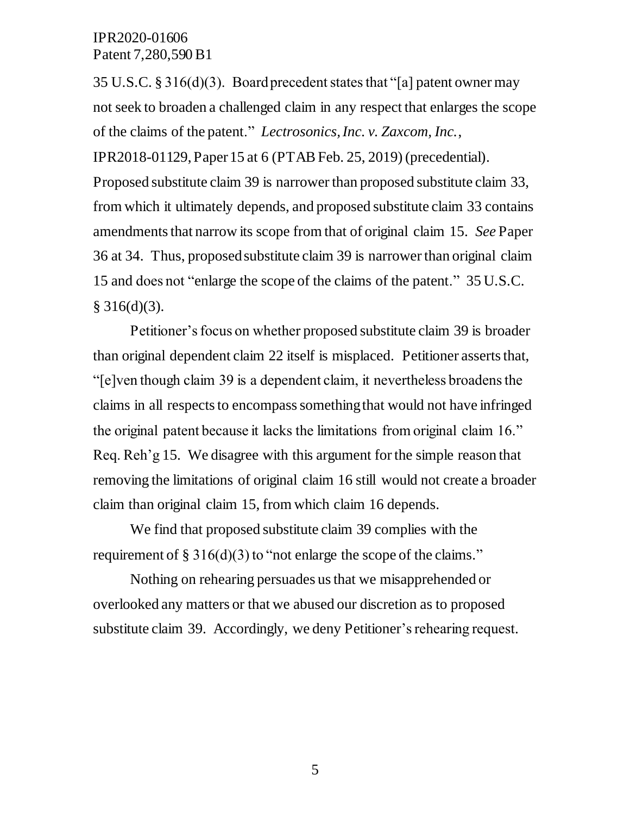35 U.S.C. § 316(d)(3). Board precedent states that "[a] patent owner may not seek to broaden a challenged claim in any respect that enlarges the scope of the claims of the patent." *Lectrosonics, Inc. v. Zaxcom, Inc.*,

IPR2018-01129, Paper 15 at 6 (PTAB Feb. 25, 2019) (precedential).

Proposed substitute claim 39 is narrower than proposed substitute claim 33, from which it ultimately depends, and proposed substitute claim 33 contains amendments that narrow its scope from that of original claim 15. *See* Paper 36 at 34. Thus, proposed substitute claim 39 is narrower than original claim 15 and does not "enlarge the scope of the claims of the patent." 35 U.S.C.  $§ 316(d)(3).$ 

Petitioner's focus on whether proposed substitute claim 39 is broader than original dependent claim 22 itself is misplaced. Petitioner asserts that, "[e]ven though claim 39 is a dependent claim, it nevertheless broadens the claims in all respects to encompass something that would not have infringed the original patent because it lacks the limitations from original claim 16." Req. Reh'g 15. We disagree with this argument for the simple reason that removing the limitations of original claim 16 still would not create a broader claim than original claim 15, from which claim 16 depends.

We find that proposed substitute claim 39 complies with the requirement of  $\S 316(d)(3)$  to "not enlarge the scope of the claims."

Nothing on rehearing persuades us that we misapprehended or overlooked any matters or that we abused our discretion as to proposed substitute claim 39. Accordingly, we deny Petitioner's rehearing request.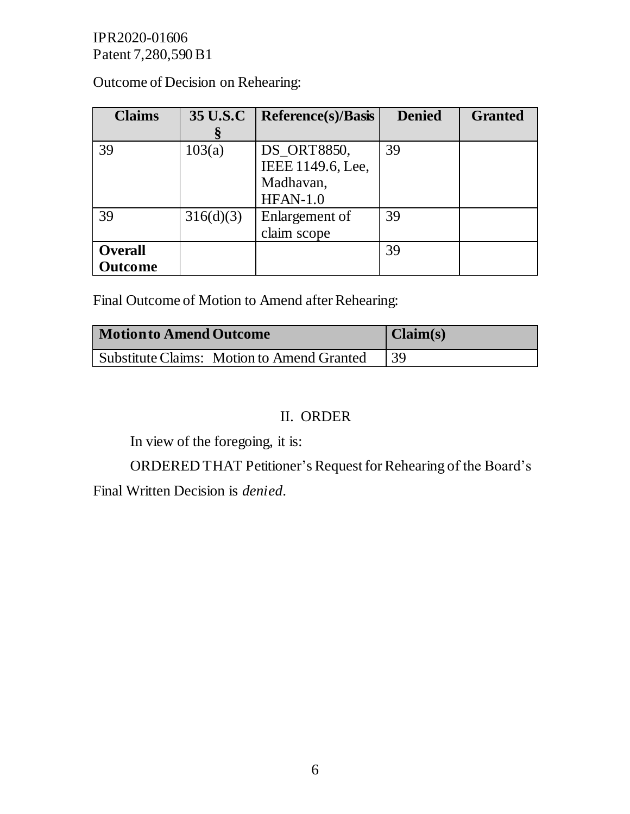Outcome of Decision on Rehearing:

| <b>Claims</b>  | 35 U.S.C  | <b>Reference(s)/Basis</b> | <b>Denied</b> | <b>Granted</b> |
|----------------|-----------|---------------------------|---------------|----------------|
|                |           |                           |               |                |
| 39             | 103(a)    | DS_ORT8850,               | 39            |                |
|                |           | IEEE 1149.6, Lee,         |               |                |
|                |           | Madhavan,                 |               |                |
|                |           | $HFAN-1.0$                |               |                |
| 39             | 316(d)(3) | Enlargement of            | 39            |                |
|                |           | claim scope               |               |                |
| <b>Overall</b> |           |                           | 39            |                |
| Outcome        |           |                           |               |                |

Final Outcome of Motion to Amend after Rehearing:

| <b>Motion to Amend Outcome</b>             | $  \text{Claim}(s)$ |
|--------------------------------------------|---------------------|
| Substitute Claims: Motion to Amend Granted | 39                  |

# II. ORDER

In view of the foregoing, it is:

ORDERED THAT Petitioner's Request for Rehearing of the Board's Final Written Decision is *denied*.